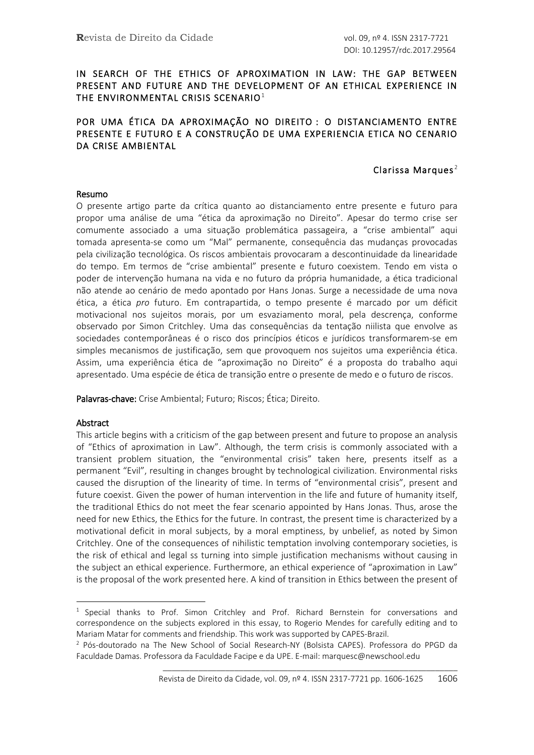# IN SEARCH OF THE ETHICS OF APROXIMATION IN LAW: THE GAP BETWEEN PRESENT AND FUTURE AND THE DEVELOPMENT OF AN ETHICAL EXPERIENCE IN THE ENVIRONMENTAL CRISIS SCENARIO $^{\rm 1}$  $^{\rm 1}$  $^{\rm 1}$

# POR UMA ÉTICA DA APROXIMAÇÃO NO DIREITO : O DISTANCIAMENTO ENTRE PRESENTE E FUTURO E A CONSTRUÇÃO DE UMA EXPERIENCIA ETICA NO CENARIO DA CRISE AMBIENTAL

## Clarissa Marques<sup>[2](#page-0-1)</sup>

### Resumo

O presente artigo parte da crítica quanto ao distanciamento entre presente e futuro para propor uma análise de uma "ética da aproximação no Direito". Apesar do termo crise ser comumente associado a uma situação problemática passageira, a "crise ambiental" aqui tomada apresenta-se como um "Mal" permanente, consequência das mudanças provocadas pela civilização tecnológica. Os riscos ambientais provocaram a descontinuidade da linearidade do tempo. Em termos de "crise ambiental" presente e futuro coexistem. Tendo em vista o poder de intervenção humana na vida e no futuro da própria humanidade, a ética tradicional não atende ao cenário de medo apontado por Hans Jonas. Surge a necessidade de uma nova ética, a ética *pro* futuro. Em contrapartida, o tempo presente é marcado por um déficit motivacional nos sujeitos morais, por um esvaziamento moral, pela descrença, conforme observado por Simon Critchley. Uma das consequências da tentação niilista que envolve as sociedades contemporâneas é o risco dos princípios éticos e jurídicos transformarem-se em simples mecanismos de justificação, sem que provoquem nos sujeitos uma experiência ética. Assim, uma experiência ética de "aproximação no Direito" é a proposta do trabalho aqui apresentado. Uma espécie de ética de transição entre o presente de medo e o futuro de riscos.

Palavras-chave: Crise Ambiental; Futuro; Riscos; Ética; Direito.

## Abstract

**.** 

This article begins with a criticism of the gap between present and future to propose an analysis of "Ethics of aproximation in Law". Although, the term crisis is commonly associated with a transient problem situation, the "environmental crisis" taken here, presents itself as a permanent "Evil", resulting in changes brought by technological civilization. Environmental risks caused the disruption of the linearity of time. In terms of "environmental crisis", present and future coexist. Given the power of human intervention in the life and future of humanity itself, the traditional Ethics do not meet the fear scenario appointed by Hans Jonas. Thus, arose the need for new Ethics, the Ethics for the future. In contrast, the present time is characterized by a motivational deficit in moral subjects, by a moral emptiness, by unbelief, as noted by Simon Critchley. One of the consequences of nihilistic temptation involving contemporary societies, is the risk of ethical and legal ss turning into simple justification mechanisms without causing in the subject an ethical experience. Furthermore, an ethical experience of "aproximation in Law" is the proposal of the work presented here. A kind of transition in Ethics between the present of

<span id="page-0-0"></span><sup>&</sup>lt;sup>1</sup> Special thanks to Prof. Simon Critchley and Prof. Richard Bernstein for conversations and correspondence on the subjects explored in this essay, to Rogerio Mendes for carefully editing and to Mariam Matar for comments and friendship. This work was supported by CAPES-Brazil.

<span id="page-0-1"></span><sup>2</sup> Pós-doutorado na The New School of Social Research-NY (Bolsista CAPES). Professora do PPGD da Faculdade Damas. Professora da Faculdade Facipe e da UPE. E-mail: marquesc@newschool.edu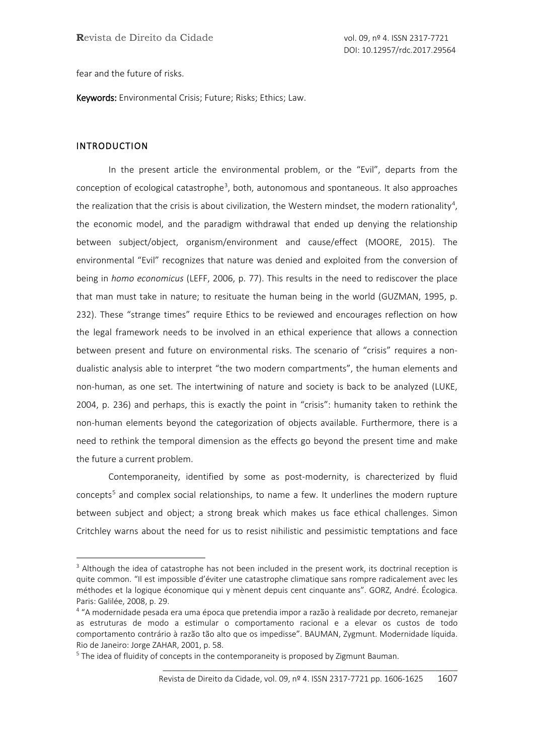fear and the future of risks.

Keywords: Environmental Crisis; Future; Risks; Ethics; Law.

## INTRODUCTION

**.** 

In the present article the environmental problem, or the "Evil", departs from the conception of ecological catastrophe<sup>[3](#page-1-0)</sup>, both, autonomous and spontaneous. It also approaches the realization that the crisis is about civilization, the Western mindset, the modern rationality<sup>[4](#page-1-1)</sup>, the economic model, and the paradigm withdrawal that ended up denying the relationship between subject/object, organism/environment and cause/effect (MOORE, 2015). The environmental "Evil" recognizes that nature was denied and exploited from the conversion of being in *homo economicus* (LEFF, 2006, p. 77). This results in the need to rediscover the place that man must take in nature; to resituate the human being in the world (GUZMAN, 1995, p. 232). These "strange times" require Ethics to be reviewed and encourages reflection on how the legal framework needs to be involved in an ethical experience that allows a connection between present and future on environmental risks. The scenario of "crisis" requires a nondualistic analysis able to interpret "the two modern compartments", the human elements and non-human, as one set. The intertwining of nature and society is back to be analyzed (LUKE, 2004, p. 236) and perhaps, this is exactly the point in "crisis": humanity taken to rethink the non-human elements beyond the categorization of objects available. Furthermore, there is a need to rethink the temporal dimension as the effects go beyond the present time and make the future a current problem.

Contemporaneity, identified by some as post-modernity, is charecterized by fluid concepts<sup>[5](#page-1-2)</sup> and complex social relationships, to name a few. It underlines the modern rupture between subject and object; a strong break which makes us face ethical challenges. Simon Critchley warns about the need for us to resist nihilistic and pessimistic temptations and face

<span id="page-1-0"></span> $3$  Although the idea of catastrophe has not been included in the present work, its doctrinal reception is quite common. "Il est impossible d'éviter une catastrophe climatique sans rompre radicalement avec les méthodes et la logique économique qui y mènent depuis cent cinquante ans". GORZ, André. Écologica. Paris: Galilée, 2008, p. 29.

<span id="page-1-1"></span><sup>4</sup> "A modernidade pesada era uma época que pretendia impor a razão à realidade por decreto, remanejar as estruturas de modo a estimular o comportamento racional e a elevar os custos de todo comportamento contrário à razão tão alto que os impedisse". BAUMAN, Zygmunt. Modernidade líquida. Rio de Janeiro: Jorge ZAHAR, 2001, p. 58.

<span id="page-1-2"></span> $5$  The idea of fluidity of concepts in the contemporaneity is proposed by Zigmunt Bauman.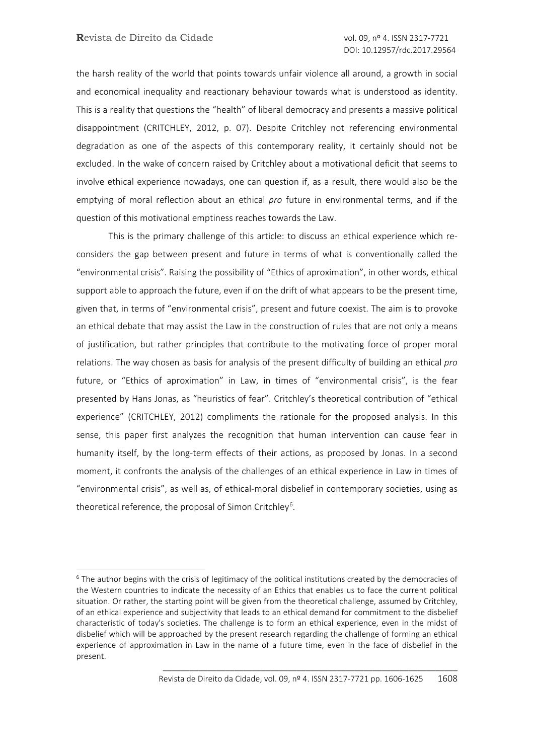<u>.</u>

the harsh reality of the world that points towards unfair violence all around, a growth in social and economical inequality and reactionary behaviour towards what is understood as identity. This is a reality that questions the "health" of liberal democracy and presents a massive political disappointment (CRITCHLEY, 2012, p. 07). Despite Critchley not referencing environmental degradation as one of the aspects of this contemporary reality, it certainly should not be excluded. In the wake of concern raised by Critchley about a motivational deficit that seems to involve ethical experience nowadays, one can question if, as a result, there would also be the emptying of moral reflection about an ethical *pro* future in environmental terms, and if the question of this motivational emptiness reaches towards the Law.

This is the primary challenge of this article: to discuss an ethical experience which reconsiders the gap between present and future in terms of what is conventionally called the "environmental crisis". Raising the possibility of "Ethics of aproximation", in other words, ethical support able to approach the future, even if on the drift of what appears to be the present time, given that, in terms of "environmental crisis", present and future coexist. The aim is to provoke an ethical debate that may assist the Law in the construction of rules that are not only a means of justification, but rather principles that contribute to the motivating force of proper moral relations. The way chosen as basis for analysis of the present difficulty of building an ethical *pro* future, or "Ethics of aproximation" in Law, in times of "environmental crisis", is the fear presented by Hans Jonas, as "heuristics of fear". Critchley's theoretical contribution of "ethical experience" (CRITCHLEY, 2012) compliments the rationale for the proposed analysis. In this sense, this paper first analyzes the recognition that human intervention can cause fear in humanity itself, by the long-term effects of their actions, as proposed by Jonas. In a second moment, it confronts the analysis of the challenges of an ethical experience in Law in times of "environmental crisis", as well as, of ethical-moral disbelief in contemporary societies, using as theoretical reference, the proposal of Simon Critchley<sup>[6](#page-2-0)</sup>.

<span id="page-2-0"></span> $6$  The author begins with the crisis of legitimacy of the political institutions created by the democracies of the Western countries to indicate the necessity of an Ethics that enables us to face the current political situation. Or rather, the starting point will be given from the theoretical challenge, assumed by Critchley, of an ethical experience and subjectivity that leads to an ethical demand for commitment to the disbelief characteristic of today's societies. The challenge is to form an ethical experience, even in the midst of disbelief which will be approached by the present research regarding the challenge of forming an ethical experience of approximation in Law in the name of a future time, even in the face of disbelief in the present.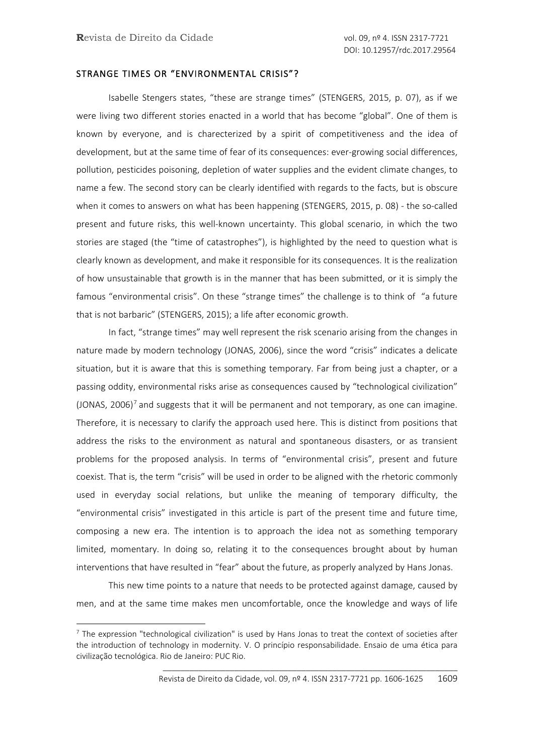**.** 

## STRANGE TIMES OR "ENVIRONMENTAL CRISIS"?

Isabelle Stengers states, "these are strange times" (STENGERS, 2015, p. 07), as if we were living two different stories enacted in a world that has become "global". One of them is known by everyone, and is charecterized by a spirit of competitiveness and the idea of development, but at the same time of fear of its consequences: ever-growing social differences, pollution, pesticides poisoning, depletion of water supplies and the evident climate changes, to name a few. The second story can be clearly identified with regards to the facts, but is obscure when it comes to answers on what has been happening (STENGERS, 2015, p. 08) - the so-called present and future risks, this well-known uncertainty. This global scenario, in which the two stories are staged (the "time of catastrophes"), is highlighted by the need to question what is clearly known as development, and make it responsible for its consequences. It is the realization of how unsustainable that growth is in the manner that has been submitted, or it is simply the famous "environmental crisis". On these "strange times" the challenge is to think of "a future that is not barbaric" (STENGERS, 2015); a life after economic growth.

In fact, "strange times" may well represent the risk scenario arising from the changes in nature made by modern technology (JONAS, 2006), since the word "crisis" indicates a delicate situation, but it is aware that this is something temporary. Far from being just a chapter, or a passing oddity, environmental risks arise as consequences caused by "technological civilization" (JONAS, 2006)<sup>[7](#page-3-0)</sup> and suggests that it will be permanent and not temporary, as one can imagine. Therefore, it is necessary to clarify the approach used here. This is distinct from positions that address the risks to the environment as natural and spontaneous disasters, or as transient problems for the proposed analysis. In terms of "environmental crisis", present and future coexist. That is, the term "crisis" will be used in order to be aligned with the rhetoric commonly used in everyday social relations, but unlike the meaning of temporary difficulty, the "environmental crisis" investigated in this article is part of the present time and future time, composing a new era. The intention is to approach the idea not as something temporary limited, momentary. In doing so, relating it to the consequences brought about by human interventions that have resulted in "fear" about the future, as properly analyzed by Hans Jonas.

This new time points to a nature that needs to be protected against damage, caused by men, and at the same time makes men uncomfortable, once the knowledge and ways of life

<span id="page-3-0"></span> $<sup>7</sup>$  The expression "technological civilization" is used by Hans Jonas to treat the context of societies after</sup> the introduction of technology in modernity. V. O princípio responsabilidade. Ensaio de uma ética para civilização tecnológica. Rio de Janeiro: PUC Rio.

\_\_\_\_\_\_\_\_\_\_\_\_\_\_\_\_\_\_\_\_\_\_\_\_\_\_\_\_\_\_\_\_\_\_\_\_\_\_\_\_\_\_\_\_\_\_\_\_\_\_\_\_\_\_\_\_\_\_\_\_\_\_\_\_\_\_ Revista de Direito da Cidade, vol. 09, nº 4. ISSN 2317-7721 pp. 1606-1625 1609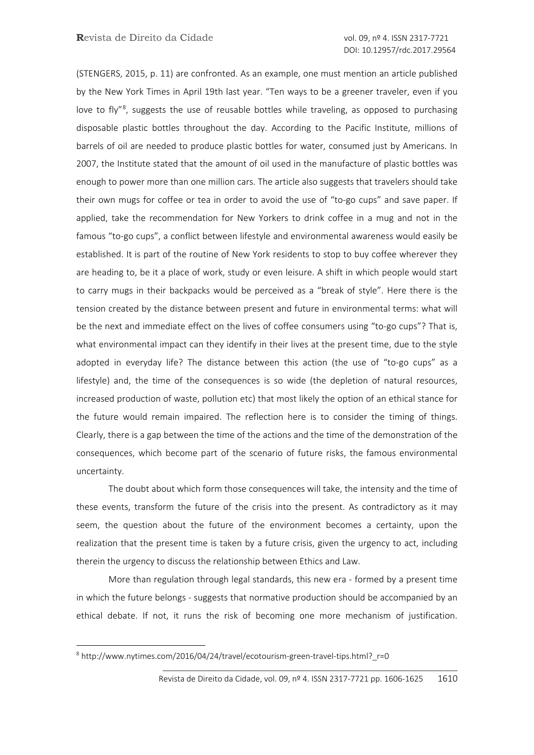(STENGERS, 2015, p. 11) are confronted. As an example, one must mention an article published by the New York Times in April 19th last year. "Ten ways to be a greener traveler, even if you love to fly"<sup>[8](#page-4-0)</sup>, suggests the use of reusable bottles while traveling, as opposed to purchasing disposable plastic bottles throughout the day. According to the Pacific Institute, millions of barrels of oil are needed to produce plastic bottles for water, consumed just by Americans. In 2007, the Institute stated that the amount of oil used in the manufacture of plastic bottles was enough to power more than one million cars. The article also suggests that travelers should take their own mugs for coffee or tea in order to avoid the use of "to-go cups" and save paper. If applied, take the recommendation for New Yorkers to drink coffee in a mug and not in the famous "to-go cups", a conflict between lifestyle and environmental awareness would easily be established. It is part of the routine of New York residents to stop to buy coffee wherever they are heading to, be it a place of work, study or even leisure. A shift in which people would start to carry mugs in their backpacks would be perceived as a "break of style". Here there is the tension created by the distance between present and future in environmental terms: what will be the next and immediate effect on the lives of coffee consumers using "to-go cups"? That is, what environmental impact can they identify in their lives at the present time, due to the style adopted in everyday life? The distance between this action (the use of "to-go cups" as a lifestyle) and, the time of the consequences is so wide (the depletion of natural resources, increased production of waste, pollution etc) that most likely the option of an ethical stance for the future would remain impaired. The reflection here is to consider the timing of things. Clearly, there is a gap between the time of the actions and the time of the demonstration of the consequences, which become part of the scenario of future risks, the famous environmental uncertainty.

The doubt about which form those consequences will take, the intensity and the time of these events, transform the future of the crisis into the present. As contradictory as it may seem, the question about the future of the environment becomes a certainty, upon the realization that the present time is taken by a future crisis, given the urgency to act, including therein the urgency to discuss the relationship between Ethics and Law.

More than regulation through legal standards, this new era - formed by a present time in which the future belongs - suggests that normative production should be accompanied by an ethical debate. If not, it runs the risk of becoming one more mechanism of justification.

<u>.</u>

<span id="page-4-0"></span><sup>&</sup>lt;sup>8</sup> http://www.nytimes.com/2016/04/24/travel/ecotourism-green-travel-tips.html? r=0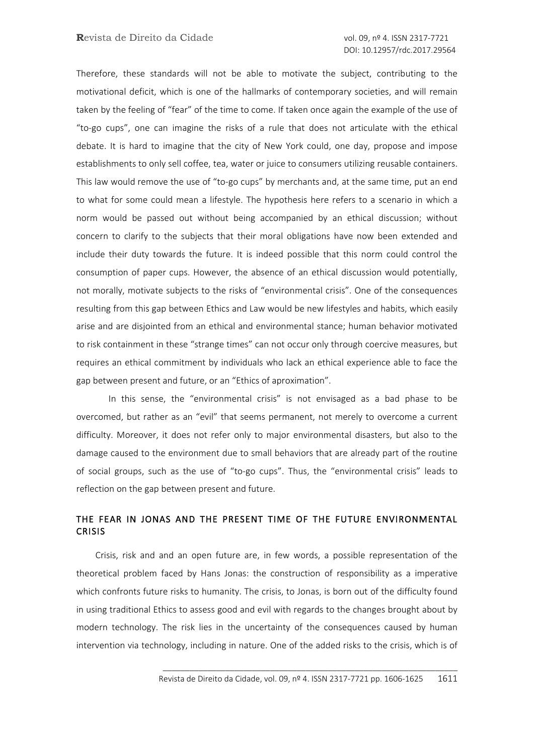#### **R**evista de Direito da Cidade vol. 09, nº 4. ISSN 2317-7721

Therefore, these standards will not be able to motivate the subject, contributing to the motivational deficit, which is one of the hallmarks of contemporary societies, and will remain taken by the feeling of "fear" of the time to come. If taken once again the example of the use of "to-go cups", one can imagine the risks of a rule that does not articulate with the ethical debate. It is hard to imagine that the city of New York could, one day, propose and impose establishments to only sell coffee, tea, water or juice to consumers utilizing reusable containers. This law would remove the use of "to-go cups" by merchants and, at the same time, put an end to what for some could mean a lifestyle. The hypothesis here refers to a scenario in which a norm would be passed out without being accompanied by an ethical discussion; without concern to clarify to the subjects that their moral obligations have now been extended and include their duty towards the future. It is indeed possible that this norm could control the consumption of paper cups. However, the absence of an ethical discussion would potentially, not morally, motivate subjects to the risks of "environmental crisis". One of the consequences resulting from this gap between Ethics and Law would be new lifestyles and habits, which easily arise and are disjointed from an ethical and environmental stance; human behavior motivated to risk containment in these "strange times" can not occur only through coercive measures, but requires an ethical commitment by individuals who lack an ethical experience able to face the gap between present and future, or an "Ethics of aproximation".

In this sense, the "environmental crisis" is not envisaged as a bad phase to be overcomed, but rather as an "evil" that seems permanent, not merely to overcome a current difficulty. Moreover, it does not refer only to major environmental disasters, but also to the damage caused to the environment due to small behaviors that are already part of the routine of social groups, such as the use of "to-go cups". Thus, the "environmental crisis" leads to reflection on the gap between present and future.

# THE FEAR IN JONAS AND THE PRESENT TIME OF THE FUTURE ENVIRONMENTAL **CRISIS**

Crisis, risk and and an open future are, in few words, a possible representation of the theoretical problem faced by Hans Jonas: the construction of responsibility as a imperative which confronts future risks to humanity. The crisis, to Jonas, is born out of the difficulty found in using traditional Ethics to assess good and evil with regards to the changes brought about by modern technology. The risk lies in the uncertainty of the consequences caused by human intervention via technology, including in nature. One of the added risks to the crisis, which is of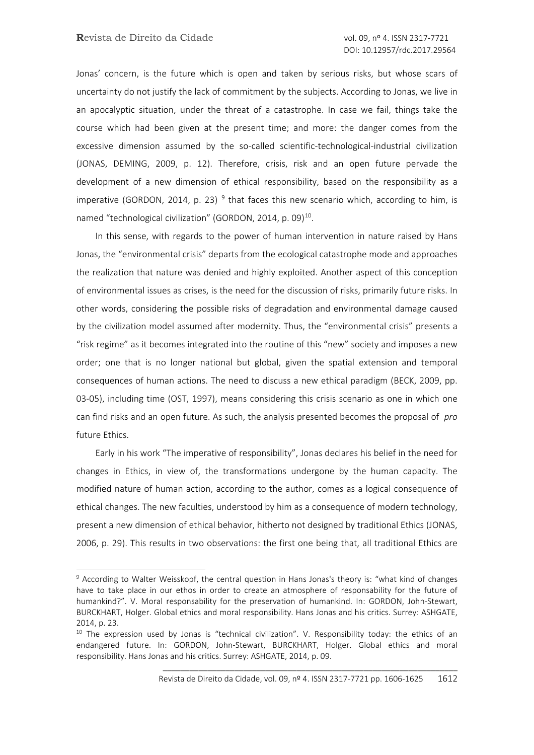**R**evista de Direito da Cidade vol. 09, nº 4. ISSN 2317-7721

<u>.</u>

Jonas' concern, is the future which is open and taken by serious risks, but whose scars of uncertainty do not justify the lack of commitment by the subjects. According to Jonas, we live in an apocalyptic situation, under the threat of a catastrophe. In case we fail, things take the course which had been given at the present time; and more: the danger comes from the excessive dimension assumed by the so-called scientific-technological-industrial civilization (JONAS, DEMING, 2009, p. 12). Therefore, crisis, risk and an open future pervade the development of a new dimension of ethical responsibility, based on the responsibility as a imperative (GORDON, 2014, p. 23)  $9$  that faces this new scenario which, according to him, is named "technological civilization" (GORDON, 2014, p. 09) $^{10}$  $^{10}$  $^{10}$ .

In this sense, with regards to the power of human intervention in nature raised by Hans Jonas, the "environmental crisis" departs from the ecological catastrophe mode and approaches the realization that nature was denied and highly exploited. Another aspect of this conception of environmental issues as crises, is the need for the discussion of risks, primarily future risks. In other words, considering the possible risks of degradation and environmental damage caused by the civilization model assumed after modernity. Thus, the "environmental crisis" presents a "risk regime" as it becomes integrated into the routine of this "new" society and imposes a new order; one that is no longer national but global, given the spatial extension and temporal consequences of human actions. The need to discuss a new ethical paradigm (BECK, 2009, pp. 03-05), including time (OST, 1997), means considering this crisis scenario as one in which one can find risks and an open future. As such, the analysis presented becomes the proposal of *pro* future Ethics.

Early in his work "The imperative of responsibility", Jonas declares his belief in the need for changes in Ethics, in view of, the transformations undergone by the human capacity. The modified nature of human action, according to the author, comes as a logical consequence of ethical changes. The new faculties, understood by him as a consequence of modern technology, present a new dimension of ethical behavior, hitherto not designed by traditional Ethics (JONAS, 2006, p. 29). This results in two observations: the first one being that, all traditional Ethics are

<span id="page-6-0"></span><sup>9</sup> According to Walter Weisskopf, the central question in Hans Jonas's theory is: "what kind of changes have to take place in our ethos in order to create an atmosphere of responsability for the future of humankind?". V. Moral responsability for the preservation of humankind. In: GORDON, John-Stewart, BURCKHART, Holger. Global ethics and moral responsibility. Hans Jonas and his critics. Surrey: ASHGATE, 2014, p. 23.

<span id="page-6-1"></span> $10$  The expression used by Jonas is "technical civilization". V. Responsibility today: the ethics of an endangered future. In: GORDON, John-Stewart, BURCKHART, Holger. Global ethics and moral responsibility. Hans Jonas and his critics. Surrey: ASHGATE, 2014, p. 09.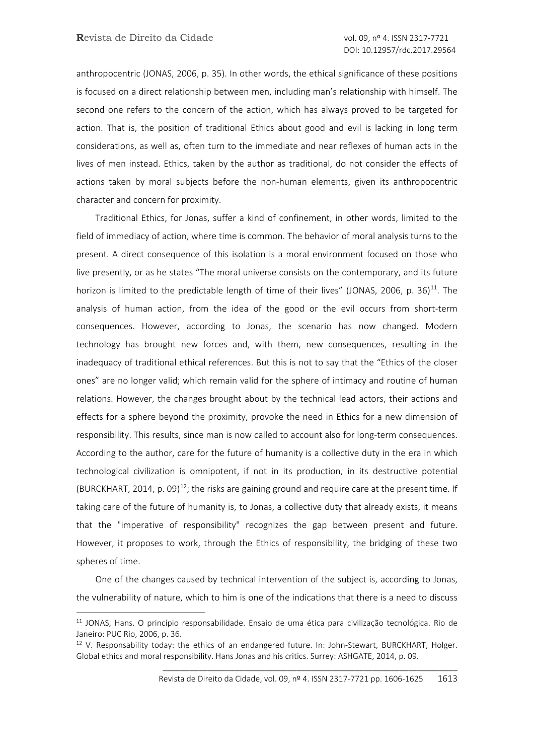$\overline{\phantom{a}}$ 

anthropocentric (JONAS, 2006, p. 35). In other words, the ethical significance of these positions is focused on a direct relationship between men, including man's relationship with himself. The second one refers to the concern of the action, which has always proved to be targeted for action. That is, the position of traditional Ethics about good and evil is lacking in long term considerations, as well as, often turn to the immediate and near reflexes of human acts in the lives of men instead. Ethics, taken by the author as traditional, do not consider the effects of actions taken by moral subjects before the non-human elements, given its anthropocentric character and concern for proximity.

Traditional Ethics, for Jonas, suffer a kind of confinement, in other words, limited to the field of immediacy of action, where time is common. The behavior of moral analysis turns to the present. A direct consequence of this isolation is a moral environment focused on those who live presently, or as he states "The moral universe consists on the contemporary, and its future horizon is limited to the predictable length of time of their lives" (JONAS, 2006, p. 36)<sup>[11](#page-7-0)</sup>. The analysis of human action, from the idea of the good or the evil occurs from short-term consequences. However, according to Jonas, the scenario has now changed. Modern technology has brought new forces and, with them, new consequences, resulting in the inadequacy of traditional ethical references. But this is not to say that the "Ethics of the closer ones" are no longer valid; which remain valid for the sphere of intimacy and routine of human relations. However, the changes brought about by the technical lead actors, their actions and effects for a sphere beyond the proximity, provoke the need in Ethics for a new dimension of responsibility. This results, since man is now called to account also for long-term consequences. According to the author, care for the future of humanity is a collective duty in the era in which technological civilization is omnipotent, if not in its production, in its destructive potential (BURCKHART, 2014, p. 09)<sup>[12](#page-7-1)</sup>; the risks are gaining ground and require care at the present time. If taking care of the future of humanity is, to Jonas, a collective duty that already exists, it means that the "imperative of responsibility" recognizes the gap between present and future. However, it proposes to work, through the Ethics of responsibility, the bridging of these two spheres of time.

One of the changes caused by technical intervention of the subject is, according to Jonas, the vulnerability of nature, which to him is one of the indications that there is a need to discuss

<span id="page-7-0"></span><sup>11</sup> JONAS, Hans. O princípio responsabilidade. Ensaio de uma ética para civilização tecnológica. Rio de Janeiro: PUC Rio, 2006, p. 36.

<span id="page-7-1"></span><sup>&</sup>lt;sup>12</sup> V. Responsability today: the ethics of an endangered future. In: John-Stewart, BURCKHART, Holger. Global ethics and moral responsibility. Hans Jonas and his critics. Surrey: ASHGATE, 2014, p. 09.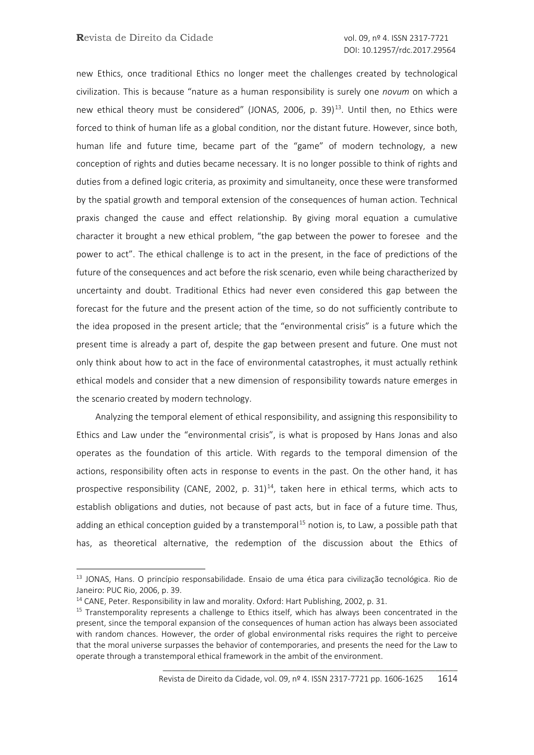new Ethics, once traditional Ethics no longer meet the challenges created by technological civilization. This is because "nature as a human responsibility is surely one *novum* on which a new ethical theory must be considered" (JONAS, 2006, p. 39) $^{13}$ . Until then, no Ethics were forced to think of human life as a global condition, nor the distant future. However, since both, human life and future time, became part of the "game" of modern technology, a new conception of rights and duties became necessary. It is no longer possible to think of rights and duties from a defined logic criteria, as proximity and simultaneity, once these were transformed by the spatial growth and temporal extension of the consequences of human action. Technical praxis changed the cause and effect relationship. By giving moral equation a cumulative character it brought a new ethical problem, "the gap between the power to foresee and the power to act". The ethical challenge is to act in the present, in the face of predictions of the future of the consequences and act before the risk scenario, even while being charactherized by uncertainty and doubt. Traditional Ethics had never even considered this gap between the forecast for the future and the present action of the time, so do not sufficiently contribute to the idea proposed in the present article; that the "environmental crisis" is a future which the present time is already a part of, despite the gap between present and future. One must not only think about how to act in the face of environmental catastrophes, it must actually rethink ethical models and consider that a new dimension of responsibility towards nature emerges in the scenario created by modern technology.

Analyzing the temporal element of ethical responsibility, and assigning this responsibility to Ethics and Law under the "environmental crisis", is what is proposed by Hans Jonas and also operates as the foundation of this article. With regards to the temporal dimension of the actions, responsibility often acts in response to events in the past. On the other hand, it has prospective responsibility (CANE, 2002, p. 31) $^{14}$  $^{14}$  $^{14}$ , taken here in ethical terms, which acts to establish obligations and duties, not because of past acts, but in face of a future time. Thus, adding an ethical conception guided by a transtemporal<sup>[15](#page-8-2)</sup> notion is, to Law, a possible path that has, as theoretical alternative, the redemption of the discussion about the Ethics of

<u>.</u>

<span id="page-8-0"></span><sup>&</sup>lt;sup>13</sup> JONAS, Hans. O princípio responsabilidade. Ensaio de uma ética para civilização tecnológica. Rio de Janeiro: PUC Rio, 2006, p. 39.

<span id="page-8-1"></span><sup>&</sup>lt;sup>14</sup> CANE, Peter. Responsibility in law and morality. Oxford: Hart Publishing, 2002, p. 31.

<span id="page-8-2"></span><sup>&</sup>lt;sup>15</sup> Transtemporality represents a challenge to Ethics itself, which has always been concentrated in the present, since the temporal expansion of the consequences of human action has always been associated with random chances. However, the order of global environmental risks requires the right to perceive that the moral universe surpasses the behavior of contemporaries, and presents the need for the Law to operate through a transtemporal ethical framework in the ambit of the environment.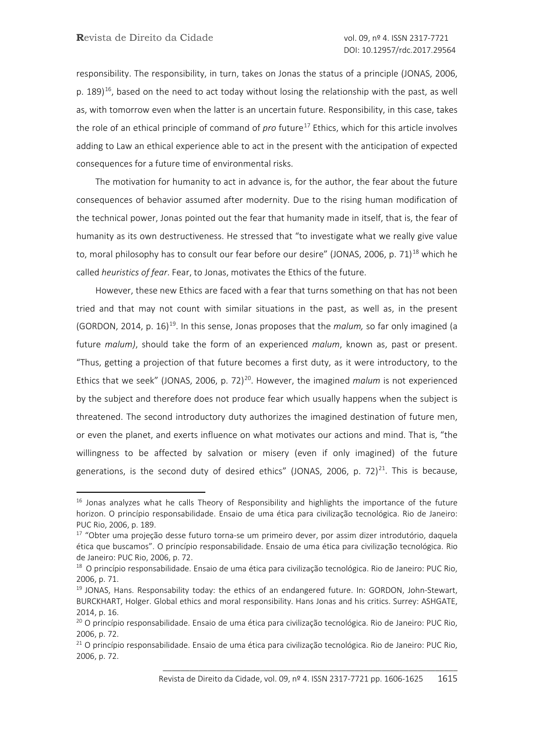<u>.</u>

responsibility. The responsibility, in turn, takes on Jonas the status of a principle (JONAS, 2006, p. 189)<sup>[16](#page-9-0)</sup>, based on the need to act today without losing the relationship with the past, as well as, with tomorrow even when the latter is an uncertain future. Responsibility, in this case, takes the role of an ethical principle of command of *pro* future<sup>[17](#page-9-1)</sup> Ethics, which for this article involves adding to Law an ethical experience able to act in the present with the anticipation of expected consequences for a future time of environmental risks.

The motivation for humanity to act in advance is, for the author, the fear about the future consequences of behavior assumed after modernity. Due to the rising human modification of the technical power, Jonas pointed out the fear that humanity made in itself, that is, the fear of humanity as its own destructiveness. He stressed that "to investigate what we really give value to, moral philosophy has to consult our fear before our desire" (JONAS, 2006, p. 71)<sup>[18](#page-9-2)</sup> which he called *heuristics of fear*. Fear, to Jonas, motivates the Ethics of the future.

However, these new Ethics are faced with a fear that turns something on that has not been tried and that may not count with similar situations in the past, as well as, in the present (GORDON, 2014, p. 16)[19](#page-9-3). In this sense, Jonas proposes that the *malum,* so far only imagined (a future *malum)*, should take the form of an experienced *malum*, known as, past or present. "Thus, getting a projection of that future becomes a first duty, as it were introductory, to the Ethics that we seek" (JONAS, 2006, p. 72)<sup>20</sup>. However, the imagined *malum* is not experienced by the subject and therefore does not produce fear which usually happens when the subject is threatened. The second introductory duty authorizes the imagined destination of future men, or even the planet, and exerts influence on what motivates our actions and mind. That is, "the willingness to be affected by salvation or misery (even if only imagined) of the future generations, is the second duty of desired ethics" (JONAS, 2006, p. 72) $^{21}$  $^{21}$  $^{21}$ . This is because,

<span id="page-9-0"></span><sup>&</sup>lt;sup>16</sup> Jonas analyzes what he calls Theory of Responsibility and highlights the importance of the future horizon. O princípio responsabilidade. Ensaio de uma ética para civilização tecnológica. Rio de Janeiro: PUC Rio, 2006, p. 189.

<span id="page-9-1"></span><sup>&</sup>lt;sup>17</sup> "Obter uma projeção desse futuro torna-se um primeiro dever, por assim dizer introdutório, daquela ética que buscamos". O princípio responsabilidade. Ensaio de uma ética para civilização tecnológica. Rio de Janeiro: PUC Rio, 2006, p. 72.

<span id="page-9-2"></span><sup>&</sup>lt;sup>18</sup> O princípio responsabilidade. Ensaio de uma ética para civilização tecnológica. Rio de Janeiro: PUC Rio, 2006, p. 71.

<span id="page-9-3"></span><sup>&</sup>lt;sup>19</sup> JONAS, Hans. Responsability today: the ethics of an endangered future. In: GORDON, John-Stewart, BURCKHART, Holger. Global ethics and moral responsibility. Hans Jonas and his critics. Surrey: ASHGATE, 2014, p. 16.

<span id="page-9-4"></span><sup>&</sup>lt;sup>20</sup> O princípio responsabilidade. Ensaio de uma ética para civilização tecnológica. Rio de Janeiro: PUC Rio, 2006, p. 72.

<span id="page-9-5"></span><sup>21</sup> O princípio responsabilidade. Ensaio de uma ética para civilização tecnológica. Rio de Janeiro: PUC Rio, 2006, p. 72.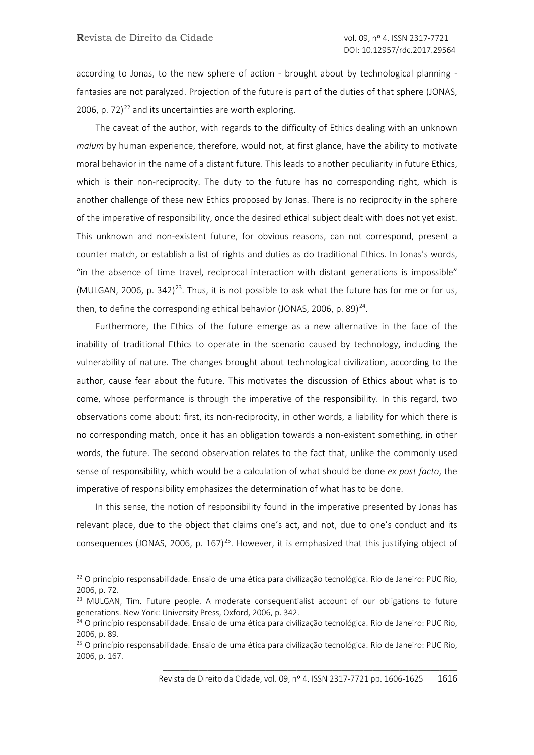<u>.</u>

according to Jonas, to the new sphere of action - brought about by technological planning fantasies are not paralyzed. Projection of the future is part of the duties of that sphere (JONAS, 2006, p. 72 $^{22}$  $^{22}$  $^{22}$  and its uncertainties are worth exploring.

The caveat of the author, with regards to the difficulty of Ethics dealing with an unknown *malum* by human experience, therefore, would not, at first glance, have the ability to motivate moral behavior in the name of a distant future. This leads to another peculiarity in future Ethics, which is their non-reciprocity. The duty to the future has no corresponding right, which is another challenge of these new Ethics proposed by Jonas. There is no reciprocity in the sphere of the imperative of responsibility, once the desired ethical subject dealt with does not yet exist. This unknown and non-existent future, for obvious reasons, can not correspond, present a counter match, or establish a list of rights and duties as do traditional Ethics. In Jonas's words, "in the absence of time travel, reciprocal interaction with distant generations is impossible" (MULGAN, 2006, p. 342)<sup>23</sup>. Thus, it is not possible to ask what the future has for me or for us, then, to define the corresponding ethical behavior (JONAS, 2006, p. 89) $^{24}$ .

Furthermore, the Ethics of the future emerge as a new alternative in the face of the inability of traditional Ethics to operate in the scenario caused by technology, including the vulnerability of nature. The changes brought about technological civilization, according to the author, cause fear about the future. This motivates the discussion of Ethics about what is to come, whose performance is through the imperative of the responsibility. In this regard, two observations come about: first, its non-reciprocity, in other words, a liability for which there is no corresponding match, once it has an obligation towards a non-existent something, in other words, the future. The second observation relates to the fact that, unlike the commonly used sense of responsibility, which would be a calculation of what should be done *ex post facto*, the imperative of responsibility emphasizes the determination of what has to be done.

In this sense, the notion of responsibility found in the imperative presented by Jonas has relevant place, due to the object that claims one's act, and not, due to one's conduct and its consequences (JONAS, 2006, p. 167)<sup>[25](#page-10-3)</sup>. However, it is emphasized that this justifying object of

<span id="page-10-0"></span><sup>22</sup> O princípio responsabilidade. Ensaio de uma ética para civilização tecnológica. Rio de Janeiro: PUC Rio, 2006, p. 72.

<span id="page-10-1"></span> $23$  MULGAN, Tim. Future people. A moderate consequentialist account of our obligations to future generations. New York: University Press, Oxford, 2006, p. 342.

<span id="page-10-2"></span><sup>&</sup>lt;sup>24</sup> O princípio responsabilidade. Ensaio de uma ética para civilização tecnológica. Rio de Janeiro: PUC Rio, 2006, p. 89.

<span id="page-10-3"></span><sup>25</sup> O princípio responsabilidade. Ensaio de uma ética para civilização tecnológica. Rio de Janeiro: PUC Rio, 2006, p. 167.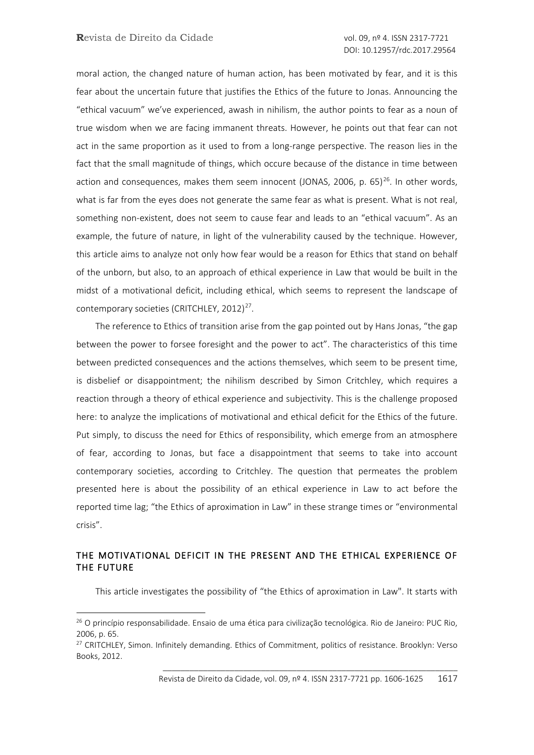$\overline{\phantom{a}}$ 

moral action, the changed nature of human action, has been motivated by fear, and it is this fear about the uncertain future that justifies the Ethics of the future to Jonas. Announcing the "ethical vacuum" we've experienced, awash in nihilism, the author points to fear as a noun of true wisdom when we are facing immanent threats. However, he points out that fear can not act in the same proportion as it used to from a long-range perspective. The reason lies in the fact that the small magnitude of things, which occure because of the distance in time between action and consequences, makes them seem innocent (JONAS, 2006, p. 65)<sup>26</sup>. In other words, what is far from the eyes does not generate the same fear as what is present. What is not real, something non-existent, does not seem to cause fear and leads to an "ethical vacuum". As an example, the future of nature, in light of the vulnerability caused by the technique. However, this article aims to analyze not only how fear would be a reason for Ethics that stand on behalf of the unborn, but also, to an approach of ethical experience in Law that would be built in the midst of a motivational deficit, including ethical, which seems to represent the landscape of contemporary societies (CRITCHLEY, 2012)<sup>[27](#page-11-1)</sup>.

The reference to Ethics of transition arise from the gap pointed out by Hans Jonas, "the gap between the power to forsee foresight and the power to act". The characteristics of this time between predicted consequences and the actions themselves, which seem to be present time, is disbelief or disappointment; the nihilism described by Simon Critchley, which requires a reaction through a theory of ethical experience and subjectivity. This is the challenge proposed here: to analyze the implications of motivational and ethical deficit for the Ethics of the future. Put simply, to discuss the need for Ethics of responsibility, which emerge from an atmosphere of fear, according to Jonas, but face a disappointment that seems to take into account contemporary societies, according to Critchley. The question that permeates the problem presented here is about the possibility of an ethical experience in Law to act before the reported time lag; "the Ethics of aproximation in Law" in these strange times or "environmental crisis".

# THE MOTIVATIONAL DEFICIT IN THE PRESENT AND THE ETHICAL EXPERIENCE OF THE FUTURE

This article investigates the possibility of "the Ethics of aproximation in Law". It starts with

<span id="page-11-0"></span><sup>&</sup>lt;sup>26</sup> O princípio responsabilidade. Ensaio de uma ética para civilização tecnológica. Rio de Janeiro: PUC Rio, 2006, p. 65.

<span id="page-11-1"></span><sup>&</sup>lt;sup>27</sup> CRITCHLEY, Simon. Infinitely demanding. Ethics of Commitment, politics of resistance. Brooklyn: Verso Books, 2012.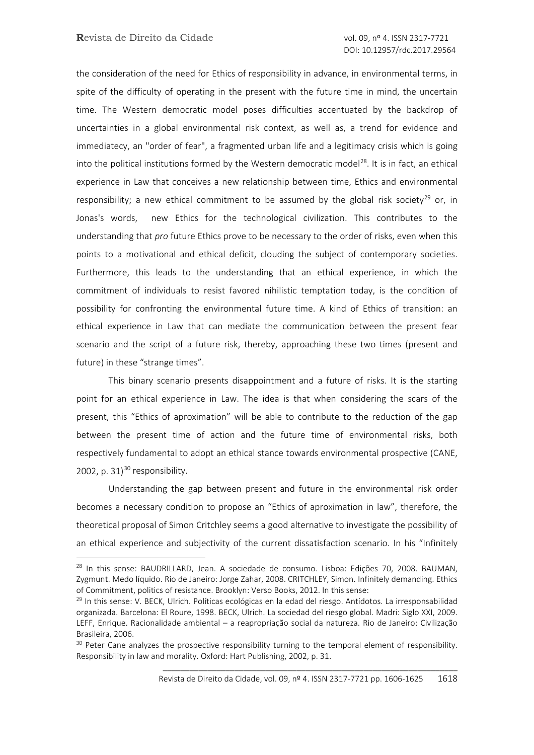**.** 

the consideration of the need for Ethics of responsibility in advance, in environmental terms, in spite of the difficulty of operating in the present with the future time in mind, the uncertain time. The Western democratic model poses difficulties accentuated by the backdrop of uncertainties in a global environmental risk context, as well as, a trend for evidence and immediatecy, an "order of fear", a fragmented urban life and a legitimacy crisis which is going into the political institutions formed by the Western democratic model<sup>[28](#page-12-0)</sup>. It is in fact, an ethical experience in Law that conceives a new relationship between time, Ethics and environmental responsibility; a new ethical commitment to be assumed by the global risk society<sup>[29](#page-12-1)</sup> or, in Jonas's words, new Ethics for the technological civilization. This contributes to the understanding that *pro* future Ethics prove to be necessary to the order of risks, even when this points to a motivational and ethical deficit, clouding the subject of contemporary societies. Furthermore, this leads to the understanding that an ethical experience, in which the commitment of individuals to resist favored nihilistic temptation today, is the condition of possibility for confronting the environmental future time. A kind of Ethics of transition: an ethical experience in Law that can mediate the communication between the present fear scenario and the script of a future risk, thereby, approaching these two times (present and future) in these "strange times".

This binary scenario presents disappointment and a future of risks. It is the starting point for an ethical experience in Law. The idea is that when considering the scars of the present, this "Ethics of aproximation" will be able to contribute to the reduction of the gap between the present time of action and the future time of environmental risks, both respectively fundamental to adopt an ethical stance towards environmental prospective (CANE, 2002, p.  $31$ <sup>[30](#page-12-2)</sup> responsibility.

Understanding the gap between present and future in the environmental risk order becomes a necessary condition to propose an "Ethics of aproximation in law", therefore, the theoretical proposal of Simon Critchley seems a good alternative to investigate the possibility of an ethical experience and subjectivity of the current dissatisfaction scenario. In his "Infinitely

<span id="page-12-0"></span><sup>&</sup>lt;sup>28</sup> In this sense: BAUDRILLARD, Jean. A sociedade de consumo. Lisboa: Edições 70, 2008. BAUMAN, Zygmunt. Medo líquido. Rio de Janeiro: Jorge Zahar, 2008. CRITCHLEY, Simon. Infinitely demanding. Ethics of Commitment, politics of resistance. Brooklyn: Verso Books, 2012. In this sense:<br><sup>29</sup> In this sense: V. BECK, Ulrich. Políticas ecológicas en la edad del riesgo. Antídotos. La irresponsabilidad

<span id="page-12-1"></span>organizada. Barcelona: El Roure, 1998. BECK, Ulrich. La sociedad del riesgo global. Madri: Siglo XXI, 2009. LEFF, Enrique. Racionalidade ambiental – a reapropriação social da natureza. Rio de Janeiro: Civilização Brasileira, 2006.

<span id="page-12-2"></span><sup>&</sup>lt;sup>30</sup> Peter Cane analyzes the prospective responsibility turning to the temporal element of responsibility. Responsibility in law and morality. Oxford: Hart Publishing, 2002, p. 31.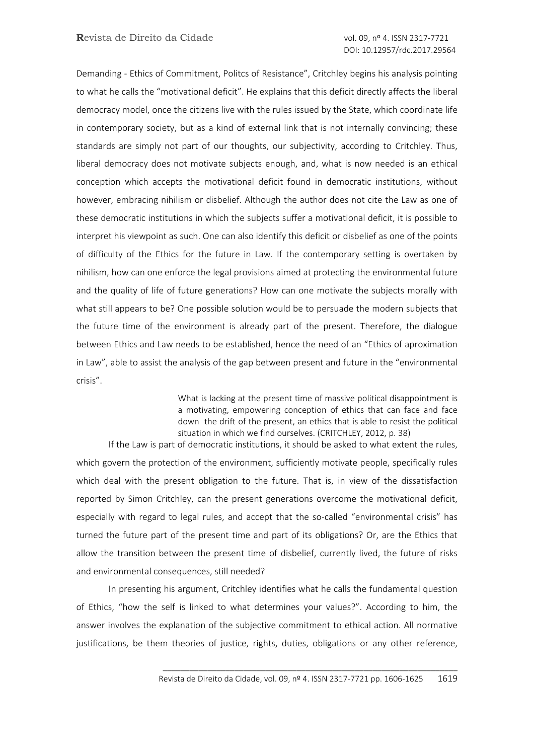Demanding - Ethics of Commitment, Politcs of Resistance", Critchley begins his analysis pointing to what he calls the "motivational deficit". He explains that this deficit directly affects the liberal democracy model, once the citizens live with the rules issued by the State, which coordinate life in contemporary society, but as a kind of external link that is not internally convincing; these standards are simply not part of our thoughts, our subjectivity, according to Critchley. Thus, liberal democracy does not motivate subjects enough, and, what is now needed is an ethical conception which accepts the motivational deficit found in democratic institutions, without however, embracing nihilism or disbelief. Although the author does not cite the Law as one of these democratic institutions in which the subjects suffer a motivational deficit, it is possible to interpret his viewpoint as such. One can also identify this deficit or disbelief as one of the points of difficulty of the Ethics for the future in Law. If the contemporary setting is overtaken by nihilism, how can one enforce the legal provisions aimed at protecting the environmental future and the quality of life of future generations? How can one motivate the subjects morally with what still appears to be? One possible solution would be to persuade the modern subjects that the future time of the environment is already part of the present. Therefore, the dialogue between Ethics and Law needs to be established, hence the need of an "Ethics of aproximation in Law", able to assist the analysis of the gap between present and future in the "environmental crisis".

> What is lacking at the present time of massive political disappointment is a motivating, empowering conception of ethics that can face and face down the drift of the present, an ethics that is able to resist the political situation in which we find ourselves. (CRITCHLEY, 2012, p. 38)

If the Law is part of democratic institutions, it should be asked to what extent the rules, which govern the protection of the environment, sufficiently motivate people, specifically rules which deal with the present obligation to the future. That is, in view of the dissatisfaction reported by Simon Critchley, can the present generations overcome the motivational deficit, especially with regard to legal rules, and accept that the so-called "environmental crisis" has turned the future part of the present time and part of its obligations? Or, are the Ethics that allow the transition between the present time of disbelief, currently lived, the future of risks and environmental consequences, still needed?

In presenting his argument, Critchley identifies what he calls the fundamental question of Ethics, "how the self is linked to what determines your values?". According to him, the answer involves the explanation of the subjective commitment to ethical action. All normative justifications, be them theories of justice, rights, duties, obligations or any other reference,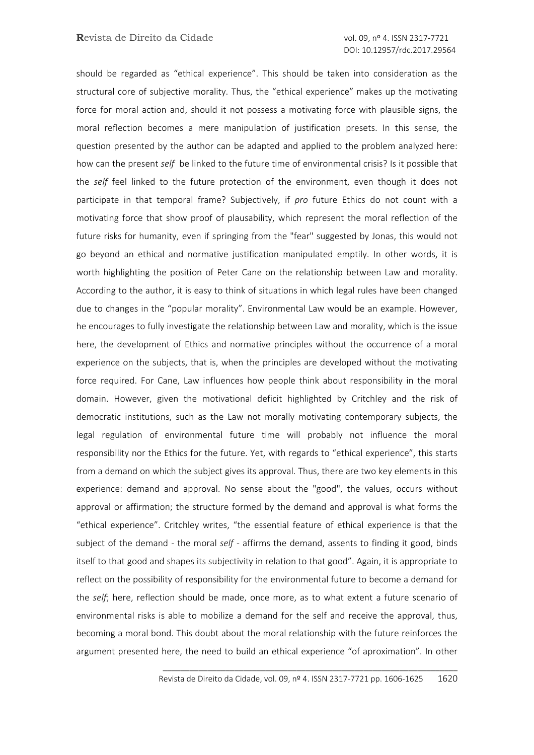should be regarded as "ethical experience". This should be taken into consideration as the structural core of subjective morality. Thus, the "ethical experience" makes up the motivating force for moral action and, should it not possess a motivating force with plausible signs, the moral reflection becomes a mere manipulation of justification presets. In this sense, the question presented by the author can be adapted and applied to the problem analyzed here: how can the present *self* be linked to the future time of environmental crisis? Is it possible that the *self* feel linked to the future protection of the environment, even though it does not participate in that temporal frame? Subjectively, if *pro* future Ethics do not count with a motivating force that show proof of plausability, which represent the moral reflection of the future risks for humanity, even if springing from the "fear" suggested by Jonas, this would not go beyond an ethical and normative justification manipulated emptily. In other words, it is worth highlighting the position of Peter Cane on the relationship between Law and morality. According to the author, it is easy to think of situations in which legal rules have been changed due to changes in the "popular morality". Environmental Law would be an example. However, he encourages to fully investigate the relationship between Law and morality, which is the issue here, the development of Ethics and normative principles without the occurrence of a moral experience on the subjects, that is, when the principles are developed without the motivating force required. For Cane, Law influences how people think about responsibility in the moral domain. However, given the motivational deficit highlighted by Critchley and the risk of democratic institutions, such as the Law not morally motivating contemporary subjects, the legal regulation of environmental future time will probably not influence the moral responsibility nor the Ethics for the future. Yet, with regards to "ethical experience", this starts from a demand on which the subject gives its approval. Thus, there are two key elements in this experience: demand and approval. No sense about the "good", the values, occurs without approval or affirmation; the structure formed by the demand and approval is what forms the "ethical experience". Critchley writes, "the essential feature of ethical experience is that the subject of the demand - the moral *self* - affirms the demand, assents to finding it good, binds itself to that good and shapes its subjectivity in relation to that good". Again, it is appropriate to reflect on the possibility of responsibility for the environmental future to become a demand for the *self*; here, reflection should be made, once more, as to what extent a future scenario of environmental risks is able to mobilize a demand for the self and receive the approval, thus, becoming a moral bond. This doubt about the moral relationship with the future reinforces the argument presented here, the need to build an ethical experience "of aproximation". In other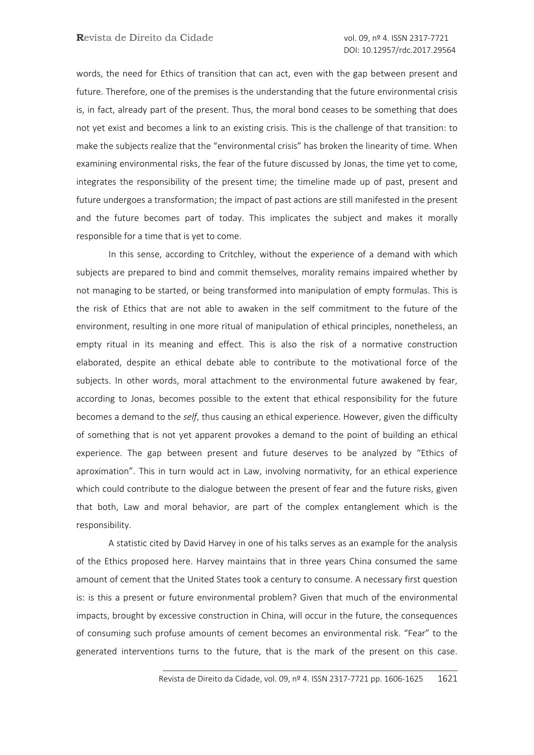words, the need for Ethics of transition that can act, even with the gap between present and future. Therefore, one of the premises is the understanding that the future environmental crisis is, in fact, already part of the present. Thus, the moral bond ceases to be something that does not yet exist and becomes a link to an existing crisis. This is the challenge of that transition: to make the subjects realize that the "environmental crisis" has broken the linearity of time. When examining environmental risks, the fear of the future discussed by Jonas, the time yet to come, integrates the responsibility of the present time; the timeline made up of past, present and future undergoes a transformation; the impact of past actions are still manifested in the present and the future becomes part of today. This implicates the subject and makes it morally responsible for a time that is yet to come.

In this sense, according to Critchley, without the experience of a demand with which subjects are prepared to bind and commit themselves, morality remains impaired whether by not managing to be started, or being transformed into manipulation of empty formulas. This is the risk of Ethics that are not able to awaken in the self commitment to the future of the environment, resulting in one more ritual of manipulation of ethical principles, nonetheless, an empty ritual in its meaning and effect. This is also the risk of a normative construction elaborated, despite an ethical debate able to contribute to the motivational force of the subjects. In other words, moral attachment to the environmental future awakened by fear, according to Jonas, becomes possible to the extent that ethical responsibility for the future becomes a demand to the *self*, thus causing an ethical experience. However, given the difficulty of something that is not yet apparent provokes a demand to the point of building an ethical experience. The gap between present and future deserves to be analyzed by "Ethics of aproximation". This in turn would act in Law, involving normativity, for an ethical experience which could contribute to the dialogue between the present of fear and the future risks, given that both, Law and moral behavior, are part of the complex entanglement which is the responsibility.

A statistic cited by David Harvey in one of his talks serves as an example for the analysis of the Ethics proposed here. Harvey maintains that in three years China consumed the same amount of cement that the United States took a century to consume. A necessary first question is: is this a present or future environmental problem? Given that much of the environmental impacts, brought by excessive construction in China, will occur in the future, the consequences of consuming such profuse amounts of cement becomes an environmental risk. "Fear" to the generated interventions turns to the future, that is the mark of the present on this case.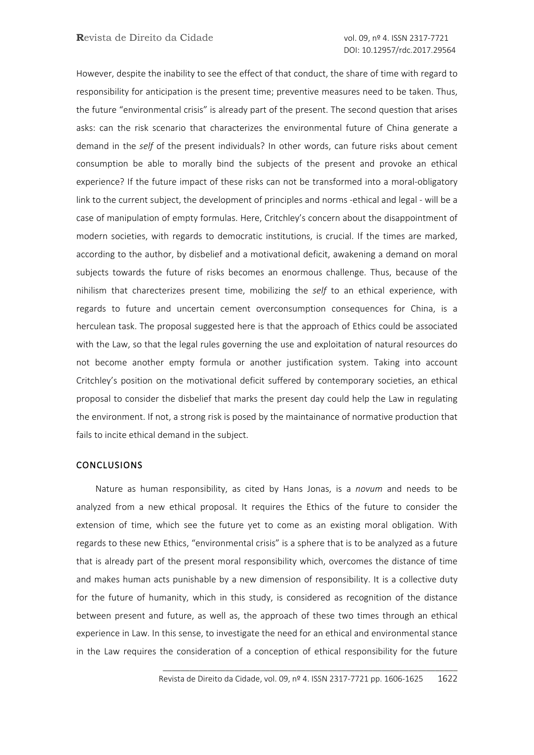However, despite the inability to see the effect of that conduct, the share of time with regard to responsibility for anticipation is the present time; preventive measures need to be taken. Thus, the future "environmental crisis" is already part of the present. The second question that arises asks: can the risk scenario that characterizes the environmental future of China generate a demand in the *self* of the present individuals? In other words, can future risks about cement consumption be able to morally bind the subjects of the present and provoke an ethical experience? If the future impact of these risks can not be transformed into a moral-obligatory link to the current subject, the development of principles and norms -ethical and legal - will be a case of manipulation of empty formulas. Here, Critchley's concern about the disappointment of modern societies, with regards to democratic institutions, is crucial. If the times are marked, according to the author, by disbelief and a motivational deficit, awakening a demand on moral subjects towards the future of risks becomes an enormous challenge. Thus, because of the nihilism that charecterizes present time, mobilizing the *self* to an ethical experience, with regards to future and uncertain cement overconsumption consequences for China, is a herculean task. The proposal suggested here is that the approach of Ethics could be associated with the Law, so that the legal rules governing the use and exploitation of natural resources do not become another empty formula or another justification system. Taking into account Critchley's position on the motivational deficit suffered by contemporary societies, an ethical proposal to consider the disbelief that marks the present day could help the Law in regulating the environment. If not, a strong risk is posed by the maintainance of normative production that fails to incite ethical demand in the subject.

## CONCLUSIONS

Nature as human responsibility, as cited by Hans Jonas, is a *novum* and needs to be analyzed from a new ethical proposal. It requires the Ethics of the future to consider the extension of time, which see the future yet to come as an existing moral obligation. With regards to these new Ethics, "environmental crisis" is a sphere that is to be analyzed as a future that is already part of the present moral responsibility which, overcomes the distance of time and makes human acts punishable by a new dimension of responsibility. It is a collective duty for the future of humanity, which in this study, is considered as recognition of the distance between present and future, as well as, the approach of these two times through an ethical experience in Law. In this sense, to investigate the need for an ethical and environmental stance in the Law requires the consideration of a conception of ethical responsibility for the future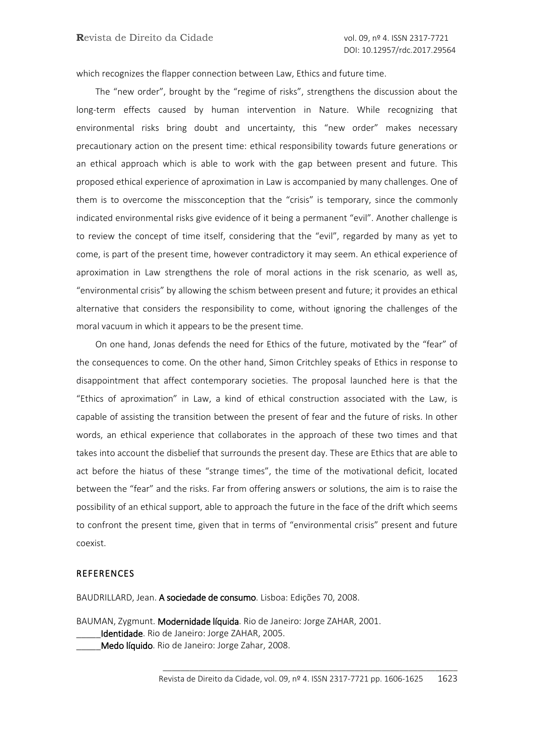which recognizes the flapper connection between Law, Ethics and future time.

The "new order", brought by the "regime of risks", strengthens the discussion about the long-term effects caused by human intervention in Nature. While recognizing that environmental risks bring doubt and uncertainty, this "new order" makes necessary precautionary action on the present time: ethical responsibility towards future generations or an ethical approach which is able to work with the gap between present and future. This proposed ethical experience of aproximation in Law is accompanied by many challenges. One of them is to overcome the missconception that the "crisis" is temporary, since the commonly indicated environmental risks give evidence of it being a permanent "evil". Another challenge is to review the concept of time itself, considering that the "evil", regarded by many as yet to come, is part of the present time, however contradictory it may seem. An ethical experience of aproximation in Law strengthens the role of moral actions in the risk scenario, as well as, "environmental crisis" by allowing the schism between present and future; it provides an ethical alternative that considers the responsibility to come, without ignoring the challenges of the moral vacuum in which it appears to be the present time.

On one hand, Jonas defends the need for Ethics of the future, motivated by the "fear" of the consequences to come. On the other hand, Simon Critchley speaks of Ethics in response to disappointment that affect contemporary societies. The proposal launched here is that the "Ethics of aproximation" in Law, a kind of ethical construction associated with the Law, is capable of assisting the transition between the present of fear and the future of risks. In other words, an ethical experience that collaborates in the approach of these two times and that takes into account the disbelief that surrounds the present day. These are Ethics that are able to act before the hiatus of these "strange times", the time of the motivational deficit, located between the "fear" and the risks. Far from offering answers or solutions, the aim is to raise the possibility of an ethical support, able to approach the future in the face of the drift which seems to confront the present time, given that in terms of "environmental crisis" present and future coexist.

## REFERENCES

BAUDRILLARD, Jean. A sociedade de consumo. Lisboa: Edições 70, 2008.

BAUMAN, Zygmunt. Modernidade líquida. Rio de Janeiro: Jorge ZAHAR, 2001. Identidade. Rio de Janeiro: Jorge ZAHAR, 2005. Medo líquido. Rio de Janeiro: Jorge Zahar, 2008.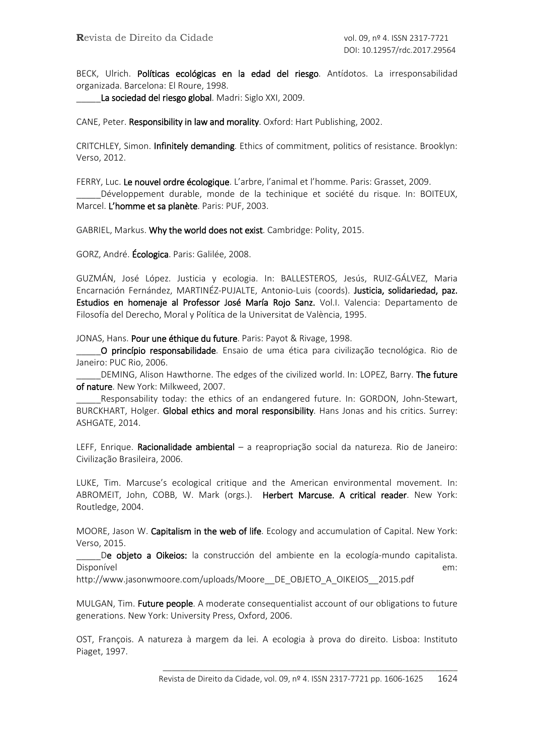BECK, Ulrich. Políticas ecológicas en la edad del riesgo. Antídotos. La irresponsabilidad organizada. Barcelona: El Roure, 1998.

La sociedad del riesgo global. Madri: Siglo XXI, 2009.

CANE, Peter. Responsibility in law and morality. Oxford: Hart Publishing, 2002.

CRITCHLEY, Simon. Infinitely demanding. Ethics of commitment, politics of resistance. Brooklyn: Verso, 2012.

FERRY, Luc. Le nouvel ordre écologique. L'arbre, l'animal et l'homme. Paris: Grasset, 2009.

Développement durable, monde de la techinique et société du risque. In: BOITEUX, Marcel. L'homme et sa planète. Paris: PUF, 2003.

GABRIEL, Markus. Why the world does not exist. Cambridge: Polity, 2015.

GORZ, André. Écologica. Paris: Galilée, 2008.

GUZMÁN, José López. Justicia y ecologia. In: BALLESTEROS, Jesús, RUIZ-GÁLVEZ, Maria Encarnación Fernández, MARTINÉZ-PUJALTE, Antonio-Luis (coords). Justicia, solidariedad, paz. Estudios en homenaje al Professor José María Rojo Sanz. Vol.I. Valencia: Departamento de Filosofía del Derecho, Moral y Política de la Universitat de València, 1995.

JONAS, Hans. Pour une éthique du future. Paris: Payot & Rivage, 1998.

O princípio responsabilidade. Ensaio de uma ética para civilização tecnológica. Rio de Janeiro: PUC Rio, 2006.

DEMING, Alison Hawthorne. The edges of the civilized world. In: LOPEZ, Barry. The future of nature. New York: Milkweed, 2007.

Responsability today: the ethics of an endangered future. In: GORDON, John-Stewart, BURCKHART, Holger. Global ethics and moral responsibility. Hans Jonas and his critics. Surrey: ASHGATE, 2014.

LEFF, Enrique. Racionalidade ambiental - a reapropriação social da natureza. Rio de Janeiro: Civilização Brasileira, 2006.

LUKE, Tim. Marcuse's ecological critique and the American environmental movement. In: ABROMEIT, John, COBB, W. Mark (orgs.). Herbert Marcuse. A critical reader. New York: Routledge, 2004.

MOORE, Jason W. Capitalism in the web of life. Ecology and accumulation of Capital. New York: Verso, 2015.

De objeto a Oikeios: la construcción del ambiente en la ecología-mundo capitalista. Disponível em:

[http://www.jasonwmoore.com/uploads/Moore\\_\\_DE\\_OBJETO\\_A\\_OIKEIOS\\_\\_2015.pdf](http://www.jasonwmoore.com/uploads/Moore__DE_OBJETO_A_OIKEIOS__2015.pdf)

MULGAN, Tim. Future people. A moderate consequentialist account of our obligations to future generations. New York: University Press, Oxford, 2006.

OST, François. A natureza à margem da lei. A ecologia à prova do direito. Lisboa: Instituto Piaget, 1997.